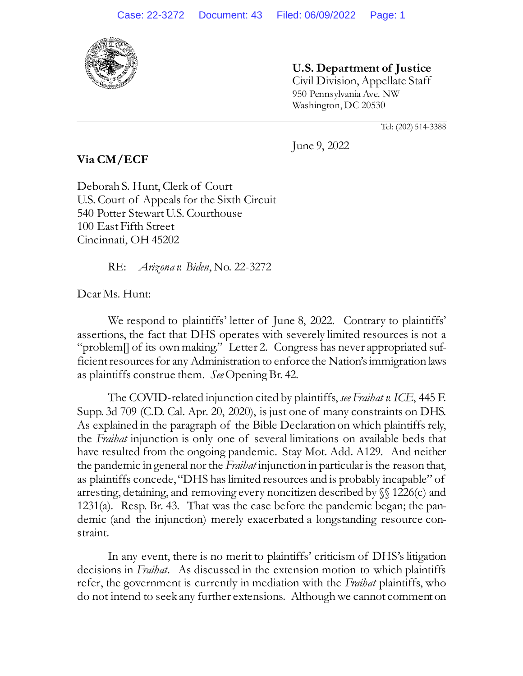

**Via CM/ECF**

**U.S. Department of Justice** Civil Division, Appellate Staff 950 Pennsylvania Ave. NW Washington, DC 20530

Tel: (202) 514-3388

June 9, 2022

Deborah S. Hunt, Clerk of Court U.S. Court of Appeals for the Sixth Circuit 540 Potter Stewart U.S. Courthouse 100 East Fifth Street Cincinnati, OH 45202

RE: *Arizona v. Biden*, No. 22-3272

Dear Ms. Hunt:

We respond to plaintiffs' letter of June 8, 2022. Contrary to plaintiffs' assertions, the fact that DHS operates with severely limited resources is not a "problem[] of its own making." Letter 2. Congress has never appropriated sufficient resources for any Administration to enforce the Nation's immigration laws as plaintiffs construe them. *See* Opening Br. 42.

The COVID-related injunction cited by plaintiffs, *see Fraihat v. ICE*, 445 F. Supp. 3d 709 (C.D. Cal. Apr. 20, 2020), is just one of many constraints on DHS. As explained in the paragraph of the Bible Declaration on which plaintiffs rely, the *Fraihat* injunction is only one of several limitations on available beds that have resulted from the ongoing pandemic. Stay Mot. Add. A129. And neither the pandemic in general nor the *Fraihat* injunction in particular is the reason that, as plaintiffs concede, "DHS has limited resources and is probably incapable" of arresting, detaining, and removing every noncitizen described by §§ 1226(c) and 1231(a). Resp. Br. 43. That was the case before the pandemic began; the pandemic (and the injunction) merely exacerbated a longstanding resource constraint.

In any event, there is no merit to plaintiffs' criticism of DHS's litigation decisions in *Fraihat*. As discussed in the extension motion to which plaintiffs refer, the government is currently in mediation with the *Fraihat* plaintiffs, who do not intend to seek any further extensions. Although we cannot comment on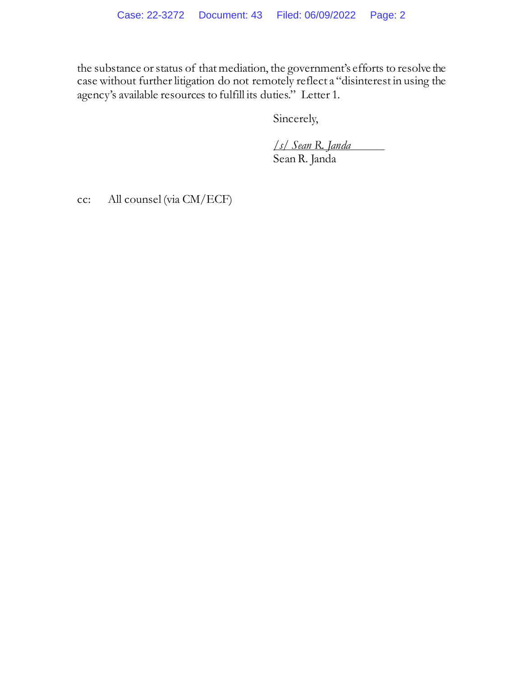the substance or status of that mediation, the government's efforts to resolve the case without further litigation do not remotely reflect a "disinterest in using the agency's available resources to fulfill its duties." Letter 1.

Sincerely,

*/s/ Sean R. Janda* Sean R. Janda

cc: All counsel (via CM/ECF)